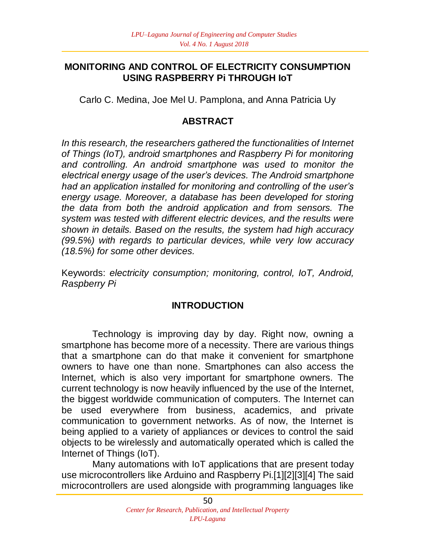#### **MONITORING AND CONTROL OF ELECTRICITY CONSUMPTION USING RASPBERRY Pi THROUGH IoT**

Carlo C. Medina, Joe Mel U. Pamplona, and Anna Patricia Uy

## **ABSTRACT**

*In this research, the researchers gathered the functionalities of Internet of Things (IoT), android smartphones and Raspberry Pi for monitoring and controlling. An android smartphone was used to monitor the electrical energy usage of the user's devices. The Android smartphone had an application installed for monitoring and controlling of the user's energy usage. Moreover, a database has been developed for storing the data from both the android application and from sensors. The system was tested with different electric devices, and the results were shown in details. Based on the results, the system had high accuracy (99.5%) with regards to particular devices, while very low accuracy (18.5%) for some other devices.* 

Keywords: *electricity consumption; monitoring, control, IoT, Android, Raspberry Pi*

#### **INTRODUCTION**

Technology is improving day by day. Right now, owning a smartphone has become more of a necessity. There are various things that a smartphone can do that make it convenient for smartphone owners to have one than none. Smartphones can also access the Internet, which is also very important for smartphone owners. The current technology is now heavily influenced by the use of the Internet, the biggest worldwide communication of computers. The Internet can be used everywhere from business, academics, and private communication to government networks. As of now, the Internet is being applied to a variety of appliances or devices to control the said objects to be wirelessly and automatically operated which is called the Internet of Things (IoT).

Many automations with IoT applications that are present today use microcontrollers like Arduino and Raspberry Pi.[1][2][3][4] The said microcontrollers are used alongside with programming languages like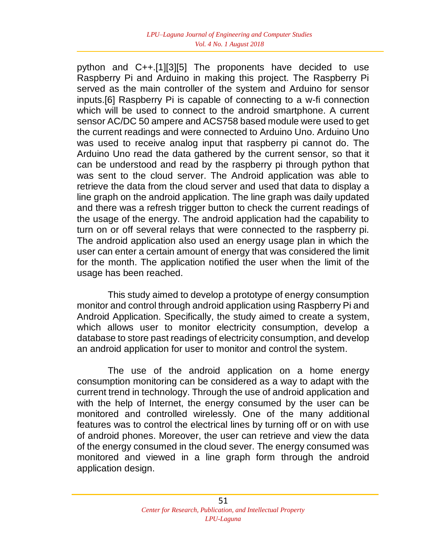python and C++.[1][3][5] The proponents have decided to use Raspberry Pi and Arduino in making this project. The Raspberry Pi served as the main controller of the system and Arduino for sensor inputs.[6] Raspberry Pi is capable of connecting to a w-fi connection which will be used to connect to the android smartphone. A current sensor AC/DC 50 ampere and ACS758 based module were used to get the current readings and were connected to Arduino Uno. Arduino Uno was used to receive analog input that raspberry pi cannot do. The Arduino Uno read the data gathered by the current sensor, so that it can be understood and read by the raspberry pi through python that was sent to the cloud server. The Android application was able to retrieve the data from the cloud server and used that data to display a line graph on the android application. The line graph was daily updated and there was a refresh trigger button to check the current readings of the usage of the energy. The android application had the capability to turn on or off several relays that were connected to the raspberry pi. The android application also used an energy usage plan in which the user can enter a certain amount of energy that was considered the limit for the month. The application notified the user when the limit of the usage has been reached.

This study aimed to develop a prototype of energy consumption monitor and control through android application using Raspberry Pi and Android Application. Specifically, the study aimed to create a system, which allows user to monitor electricity consumption, develop a database to store past readings of electricity consumption, and develop an android application for user to monitor and control the system.

The use of the android application on a home energy consumption monitoring can be considered as a way to adapt with the current trend in technology. Through the use of android application and with the help of Internet, the energy consumed by the user can be monitored and controlled wirelessly. One of the many additional features was to control the electrical lines by turning off or on with use of android phones. Moreover, the user can retrieve and view the data of the energy consumed in the cloud sever. The energy consumed was monitored and viewed in a line graph form through the android application design.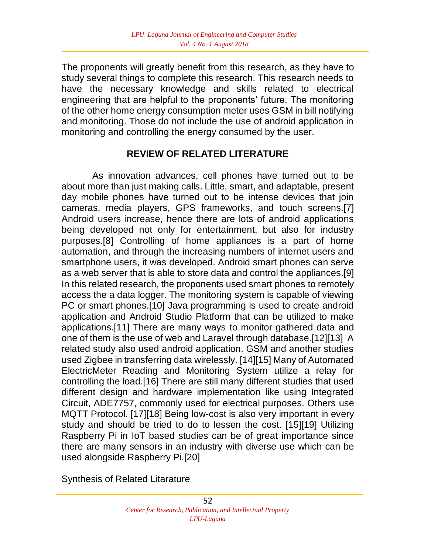The proponents will greatly benefit from this research, as they have to study several things to complete this research. This research needs to have the necessary knowledge and skills related to electrical engineering that are helpful to the proponents' future. The monitoring of the other home energy consumption meter uses GSM in bill notifying and monitoring. Those do not include the use of android application in monitoring and controlling the energy consumed by the user.

#### **REVIEW OF RELATED LITERATURE**

As innovation advances, cell phones have turned out to be about more than just making calls. Little, smart, and adaptable, present day mobile phones have turned out to be intense devices that join cameras, media players, GPS frameworks, and touch screens.[7] Android users increase, hence there are lots of android applications being developed not only for entertainment, but also for industry purposes.[8] Controlling of home appliances is a part of home automation, and through the increasing numbers of internet users and smartphone users, it was developed. Android smart phones can serve as a web server that is able to store data and control the appliances.[9] In this related research, the proponents used smart phones to remotely access the a data logger. The monitoring system is capable of viewing PC or smart phones.[10] Java programming is used to create android application and Android Studio Platform that can be utilized to make applications.[11] There are many ways to monitor gathered data and one of them is the use of web and Laravel through database.[12][13] A related study also used android application. GSM and another studies used Zigbee in transferring data wirelessly. [14][15] Many of Automated ElectricMeter Reading and Monitoring System utilize a relay for controlling the load.[16] There are still many different studies that used different design and hardware implementation like using Integrated Circuit, ADE7757, commonly used for electrical purposes. Others use MQTT Protocol. [17][18] Being low-cost is also very important in every study and should be tried to do to lessen the cost. [15][19] Utilizing Raspberry Pi in IoT based studies can be of great importance since there are many sensors in an industry with diverse use which can be used alongside Raspberry Pi.[20]

Synthesis of Related Litarature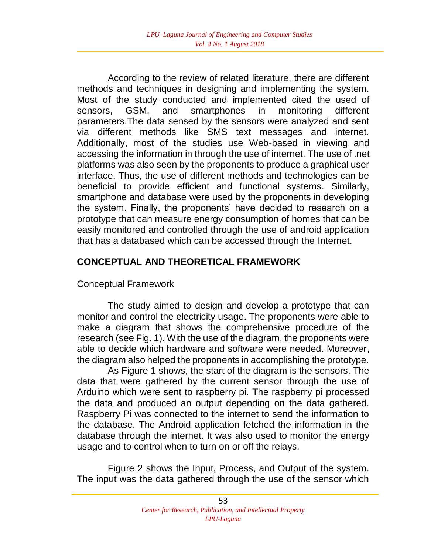According to the review of related literature, there are different methods and techniques in designing and implementing the system. Most of the study conducted and implemented cited the used of sensors, GSM, and smartphones in monitoring different parameters.The data sensed by the sensors were analyzed and sent via different methods like SMS text messages and internet. Additionally, most of the studies use Web-based in viewing and accessing the information in through the use of internet. The use of .net platforms was also seen by the proponents to produce a graphical user interface. Thus, the use of different methods and technologies can be beneficial to provide efficient and functional systems. Similarly, smartphone and database were used by the proponents in developing the system. Finally, the proponents' have decided to research on a prototype that can measure energy consumption of homes that can be easily monitored and controlled through the use of android application that has a databased which can be accessed through the Internet.

#### **CONCEPTUAL AND THEORETICAL FRAMEWORK**

Conceptual Framework

The study aimed to design and develop a prototype that can monitor and control the electricity usage. The proponents were able to make a diagram that shows the comprehensive procedure of the research (see Fig. 1). With the use of the diagram, the proponents were able to decide which hardware and software were needed. Moreover, the diagram also helped the proponents in accomplishing the prototype.

As Figure 1 shows, the start of the diagram is the sensors. The data that were gathered by the current sensor through the use of Arduino which were sent to raspberry pi. The raspberry pi processed the data and produced an output depending on the data gathered. Raspberry Pi was connected to the internet to send the information to the database. The Android application fetched the information in the database through the internet. It was also used to monitor the energy usage and to control when to turn on or off the relays.

Figure 2 shows the Input, Process, and Output of the system. The input was the data gathered through the use of the sensor which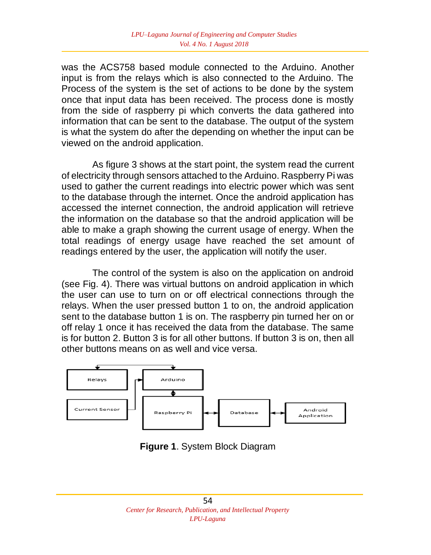was the ACS758 based module connected to the Arduino. Another input is from the relays which is also connected to the Arduino. The Process of the system is the set of actions to be done by the system once that input data has been received. The process done is mostly from the side of raspberry pi which converts the data gathered into information that can be sent to the database. The output of the system is what the system do after the depending on whether the input can be viewed on the android application.

As figure 3 shows at the start point, the system read the current of electricity through sensors attached to the Arduino. Raspberry Pi was used to gather the current readings into electric power which was sent to the database through the internet. Once the android application has accessed the internet connection, the android application will retrieve the information on the database so that the android application will be able to make a graph showing the current usage of energy. When the total readings of energy usage have reached the set amount of readings entered by the user, the application will notify the user.

The control of the system is also on the application on android (see Fig. 4). There was virtual buttons on android application in which the user can use to turn on or off electrical connections through the relays. When the user pressed button 1 to on, the android application sent to the database button 1 is on. The raspberry pin turned her on or off relay 1 once it has received the data from the database. The same is for button 2. Button 3 is for all other buttons. If button 3 is on, then all other buttons means on as well and vice versa.



**Figure 1**. System Block Diagram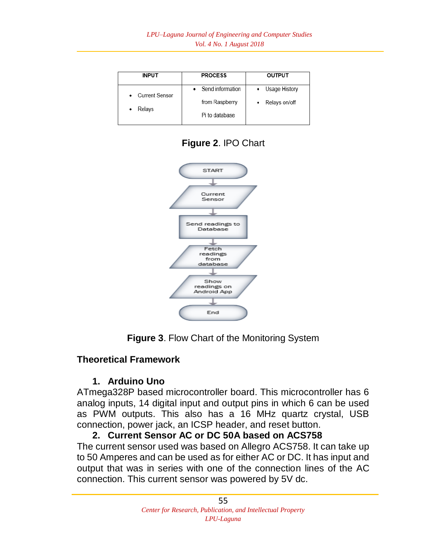| <b>INPUT</b>                       | <b>PROCESS</b>     | OUTPUT        |
|------------------------------------|--------------------|---------------|
| <b>Current Sensor</b><br>$\bullet$ | • Send information | Usage History |
| Relays                             | from Raspberry     | Relays on/off |
|                                    | Pi to database     |               |





**Figure 3**. Flow Chart of the Monitoring System

#### **Theoretical Framework**

## **1. Arduino Uno**

ATmega328P based microcontroller board. This microcontroller has 6 analog inputs, 14 digital input and output pins in which 6 can be used as PWM outputs. This also has a 16 MHz quartz crystal, USB connection, power jack, an ICSP header, and reset button.

#### **2. Current Sensor AC or DC 50A based on ACS758**

The current sensor used was based on Allegro ACS758. It can take up to 50 Amperes and can be used as for either AC or DC. It has input and output that was in series with one of the connection lines of the AC connection. This current sensor was powered by 5V dc.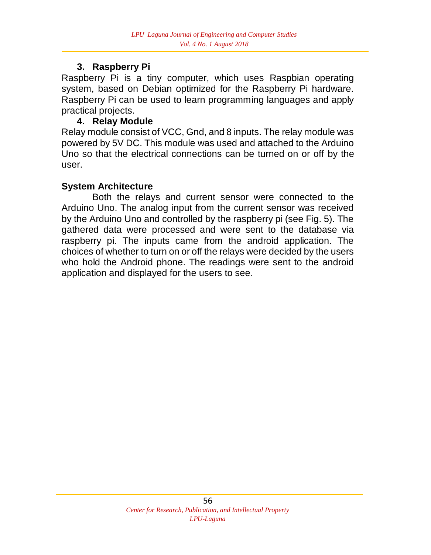## **3. Raspberry Pi**

Raspberry Pi is a tiny computer, which uses Raspbian operating system, based on Debian optimized for the Raspberry Pi hardware. Raspberry Pi can be used to learn programming languages and apply practical projects.

## **4. Relay Module**

Relay module consist of VCC, Gnd, and 8 inputs. The relay module was powered by 5V DC. This module was used and attached to the Arduino Uno so that the electrical connections can be turned on or off by the user.

#### **System Architecture**

Both the relays and current sensor were connected to the Arduino Uno. The analog input from the current sensor was received by the Arduino Uno and controlled by the raspberry pi (see Fig. 5). The gathered data were processed and were sent to the database via raspberry pi. The inputs came from the android application. The choices of whether to turn on or off the relays were decided by the users who hold the Android phone. The readings were sent to the android application and displayed for the users to see.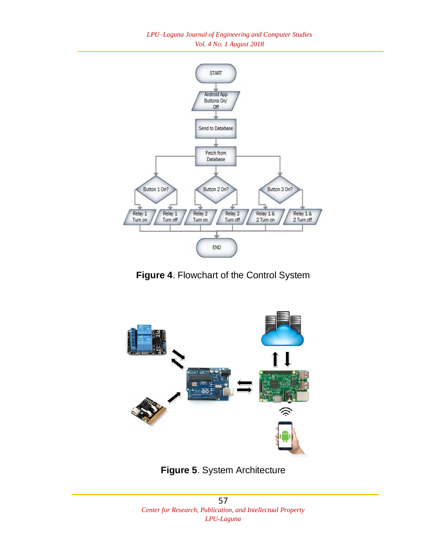*LPU–Laguna Journal of Engineering and Computer Studies Vol. 4 No. 1 August 2018*



**Figure 4**. Flowchart of the Control System



**Figure 5**. System Architecture

57 *Center for Research, Publication, and Intellectual Property LPU-Laguna*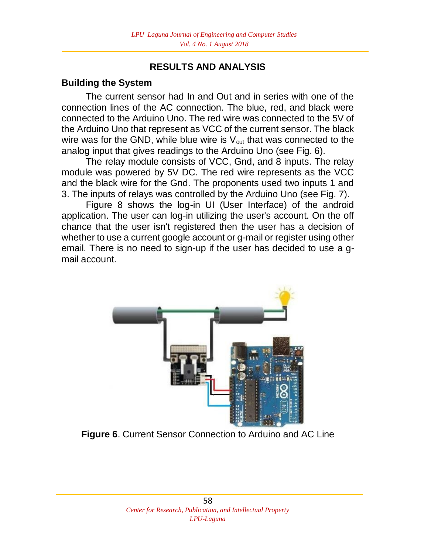#### **RESULTS AND ANALYSIS**

#### **Building the System**

The current sensor had In and Out and in series with one of the connection lines of the AC connection. The blue, red, and black were connected to the Arduino Uno. The red wire was connected to the 5V of the Arduino Uno that represent as VCC of the current sensor. The black wire was for the GND, while blue wire is  $V_{\text{out}}$  that was connected to the analog input that gives readings to the Arduino Uno (see Fig. 6).

The relay module consists of VCC, Gnd, and 8 inputs. The relay module was powered by 5V DC. The red wire represents as the VCC and the black wire for the Gnd. The proponents used two inputs 1 and 3. The inputs of relays was controlled by the Arduino Uno (see Fig. 7).

Figure 8 shows the log-in UI (User Interface) of the android application. The user can log-in utilizing the user's account. On the off chance that the user isn't registered then the user has a decision of whether to use a current google account or g-mail or register using other email. There is no need to sign-up if the user has decided to use a gmail account.



**Figure 6**. Current Sensor Connection to Arduino and AC Line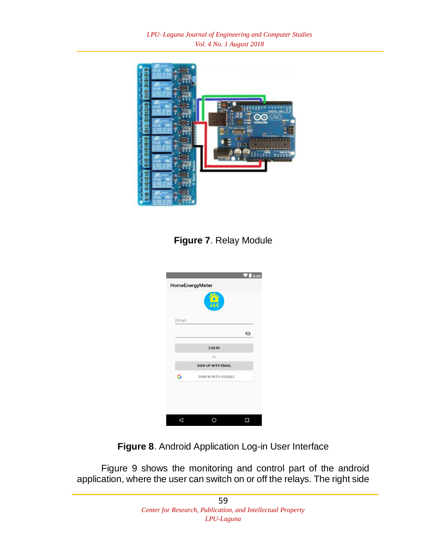*LPU–Laguna Journal of Engineering and Computer Studies Vol. 4 No. 1 August 2018*



**Figure 7**. Relay Module

|       |                           | 8:00 |
|-------|---------------------------|------|
|       | HomeEnergyMeter           |      |
|       | JAC                       |      |
| Email |                           |      |
|       |                           | 砣    |
|       | <b>LOG IN</b>             |      |
|       | Or                        |      |
|       | <b>SIGN UP WITH EMAIL</b> |      |
| G     | SIGN IN WITH GOOGLE       |      |
|       |                           |      |
|       |                           |      |

**Figure 8**. Android Application Log-in User Interface

Figure 9 shows the monitoring and control part of the android application, where the user can switch on or off the relays. The right side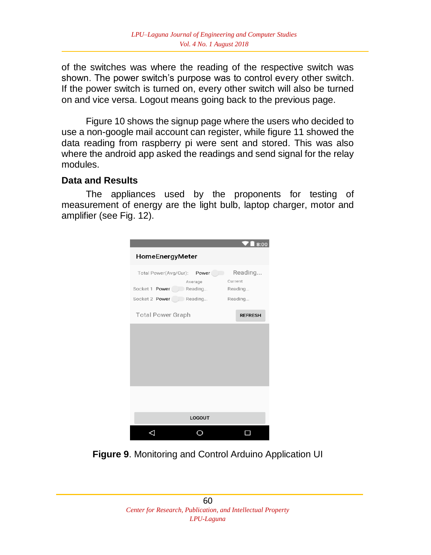of the switches was where the reading of the respective switch was shown. The power switch's purpose was to control every other switch. If the power switch is turned on, every other switch will also be turned on and vice versa. Logout means going back to the previous page.

Figure 10 shows the signup page where the users who decided to use a non-google mail account can register, while figure 11 showed the data reading from raspberry pi were sent and stored. This was also where the android app asked the readings and send signal for the relay modules.

#### **Data and Results**

The appliances used by the proponents for testing of measurement of energy are the light bulb, laptop charger, motor and amplifier (see Fig. 12).



**Figure 9**. Monitoring and Control Arduino Application UI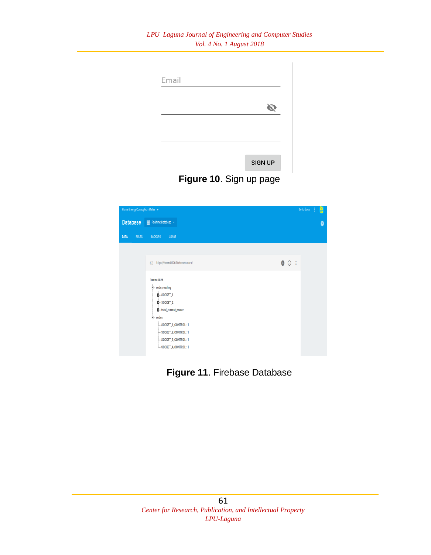#### *LPU–Laguna Journal of Engineering and Computer Studies Vol. 4 No. 1 August 2018*

| Email |                |
|-------|----------------|
|       |                |
|       |                |
|       |                |
|       | <b>SIGN UP</b> |

**Figure 10**. Sign up page



**Figure 11**. Firebase Database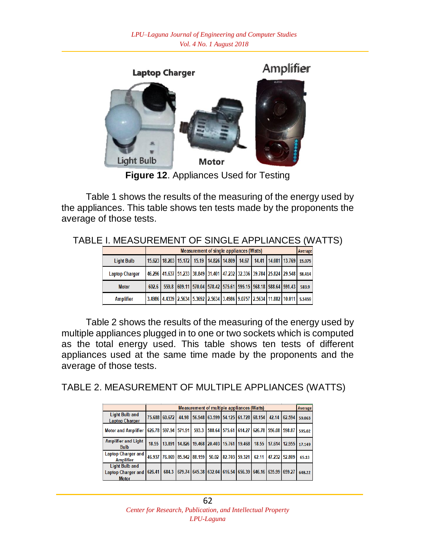

**Figure 12**. Appliances Used for Testing

Table 1 shows the results of the measuring of the energy used by the appliances. This table shows ten tests made by the proponents the average of those tests.

|                       | <b>Measurement of single appliances (Watts)</b>                                                  |  |  |  |  |  |  |  |  | Average |
|-----------------------|--------------------------------------------------------------------------------------------------|--|--|--|--|--|--|--|--|---------|
| <b>Light Bulb</b>     | 15.623   18.203   15.172   15.19   14.826   14.809   14.67   14.41   14.081   13.769   15.075    |  |  |  |  |  |  |  |  |         |
| <b>Laptop Charger</b> | 46.296 41.637 51.233 38.849 31.401 47.232 32.336 39.784 25.824 29.548 38.414                     |  |  |  |  |  |  |  |  |         |
| <b>Motor</b>          | 602.6 559.8 609.11 570.04 578.42 575.61 595.15 568.18 588.64 591.43                              |  |  |  |  |  |  |  |  | 583.9   |
| <b>Amplifier</b>      | 3.4986   4.4339   2.5634   5.3692   2.5634   3.4986   9.0757   2.5634   11.882   10.011   5.5459 |  |  |  |  |  |  |  |  |         |

TABLE I. MEASUREMENT OF SINGLE APPLIANCES (WATTS)

Table 2 shows the results of the measuring of the energy used by multiple appliances plugged in to one or two sockets which is computed as the total energy used. This table shows ten tests of different appliances used at the same time made by the proponents and the average of those tests.

TABLE 2. MEASUREMENT OF MULTIPLE APPLIANCES (WATTS)

|                                                                    |        | <b>Measurement of multiple appliances (Watts)</b>                                     |       |  |  |  |  |  |                                                               |  | Average |
|--------------------------------------------------------------------|--------|---------------------------------------------------------------------------------------|-------|--|--|--|--|--|---------------------------------------------------------------|--|---------|
| <b>Light Bulb and</b><br><b>Laptop Charger</b>                     |        | 75.688 60.672                                                                         | 44.98 |  |  |  |  |  | 56.948 63.599 54.125 61.728 68.154 42.14 62.594               |  | 59.063  |
| Motor and Amplifier   626.78   597.94   571.91                     |        |                                                                                       |       |  |  |  |  |  | 593.3 588.64 575.61 614.27 626.78 556.08 598.87               |  | 595.02  |
| <b>Amplifier and Light</b><br><b>Bulb</b>                          |        | 18.55   13.891   14.826   19.468   20.403   15.761   19.468   18.55   17.614   12.955 |       |  |  |  |  |  |                                                               |  | 17.149  |
| <b>Laptop Charger and</b><br><b>Amplifier</b>                      |        | 46.937 76.069 85.942 88.159 50.02 82.703 59.321 62.11 47.232 52.809                   |       |  |  |  |  |  |                                                               |  | 65.13   |
| <b>Light Bulb and</b><br><b>Laptop Charger and</b><br><b>Motor</b> | 626.41 |                                                                                       |       |  |  |  |  |  | 684.3 679.74 645.38 632.04 616.54 656.39 646.16 635.99 659.27 |  | 648.22  |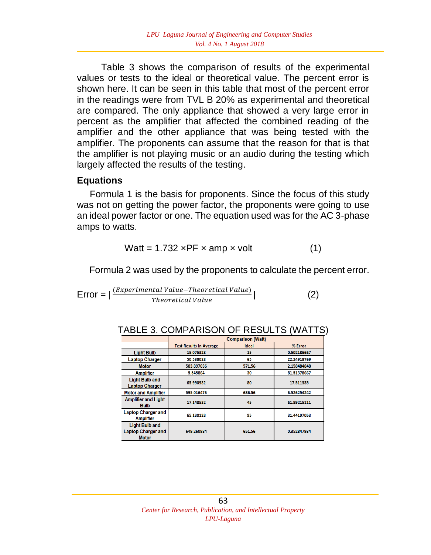Table 3 shows the comparison of results of the experimental values or tests to the ideal or theoretical value. The percent error is shown here. It can be seen in this table that most of the percent error in the readings were from TVL B 20% as experimental and theoretical are compared. The only appliance that showed a very large error in percent as the amplifier that affected the combined reading of the amplifier and the other appliance that was being tested with the amplifier. The proponents can assume that the reason for that is that the amplifier is not playing music or an audio during the testing which largely affected the results of the testing.

#### **Equations**

 Formula 1 is the basis for proponents. Since the focus of this study was not on getting the power factor, the proponents were going to use an ideal power factor or one. The equation used was for the AC 3-phase amps to watts.

$$
Watt = 1.732 \times PF \times amp \times volt \tag{1}
$$

Formula 2 was used by the proponents to calculate the percent error.

$$
Error = |\frac{(Experimental Value-Theoretical Value)}{Theoretical Value}|
$$
 (2)

|                                                                    | <b>Comparison (Watt)</b>       |        |             |  |  |  |  |  |
|--------------------------------------------------------------------|--------------------------------|--------|-------------|--|--|--|--|--|
|                                                                    | <b>Test Results in Average</b> | Ideal  | % Error     |  |  |  |  |  |
| <b>Light Bulb</b>                                                  | 15.075328                      | 15     | 0.502186667 |  |  |  |  |  |
| <b>Laptop Charger</b>                                              | 50.538028                      | 65     | 22.24918769 |  |  |  |  |  |
| <b>Motor</b>                                                       | 583.897036                     | 571.56 | 2.158484848 |  |  |  |  |  |
| <b>Amplifier</b>                                                   | 5.545864                       | 30     | 81.51378667 |  |  |  |  |  |
| <b>Light Bulb and</b><br><b>Laptop Charger</b>                     | 65.990932                      | 80     | 17.511335   |  |  |  |  |  |
| <b>Motor and Amplifier</b>                                         | 595.016476                     | 636.56 | 6.526254242 |  |  |  |  |  |
| <b>Amplifier and Light</b><br><b>Bulb</b>                          | 17.148532                      | 45     | 61.89215111 |  |  |  |  |  |
| <b>Laptop Charger and</b><br><b>Amplifier</b>                      | 65.130128                      | 95     | 31.44197053 |  |  |  |  |  |
| <b>Light Bulb and</b><br><b>Laptop Charger and</b><br><b>Motor</b> | 649.260984                     | 651.56 | 0.352847934 |  |  |  |  |  |

| TABLE 3. COMPARISON OF RESULTS (WATTS) |  |
|----------------------------------------|--|
|----------------------------------------|--|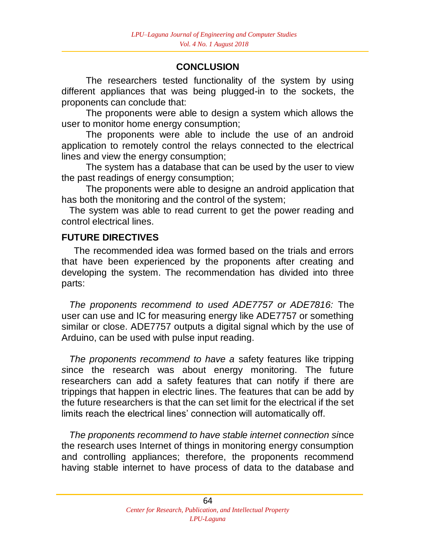# **CONCLUSION**

The researchers tested functionality of the system by using different appliances that was being plugged-in to the sockets, the proponents can conclude that:

The proponents were able to design a system which allows the user to monitor home energy consumption;

The proponents were able to include the use of an android application to remotely control the relays connected to the electrical lines and view the energy consumption;

The system has a database that can be used by the user to view the past readings of energy consumption;

The proponents were able to designe an android application that has both the monitoring and the control of the system;

The system was able to read current to get the power reading and control electrical lines.

# **FUTURE DIRECTIVES**

The recommended idea was formed based on the trials and errors that have been experienced by the proponents after creating and developing the system. The recommendation has divided into three parts:

*The proponents recommend to used ADE7757 or ADE7816:* The user can use and IC for measuring energy like ADE7757 or something similar or close. ADE7757 outputs a digital signal which by the use of Arduino, can be used with pulse input reading.

*The proponents recommend to have a* safety features like tripping *s*ince the research was about energy monitoring. The future researchers can add a safety features that can notify if there are trippings that happen in electric lines. The features that can be add by the future researchers is that the can set limit for the electrical if the set limits reach the electrical lines' connection will automatically off.

*The proponents recommend to have stable internet connection si*nce the research uses Internet of things in monitoring energy consumption and controlling appliances; therefore, the proponents recommend having stable internet to have process of data to the database and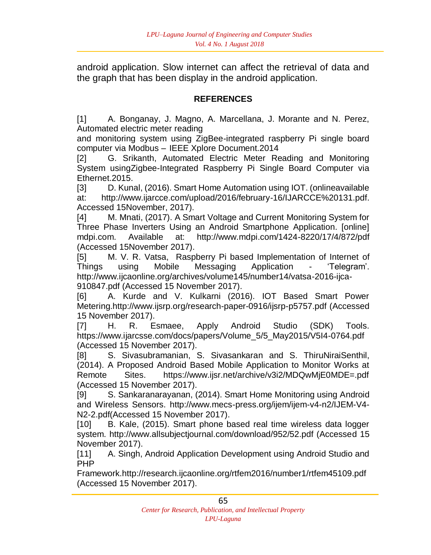android application. Slow internet can affect the retrieval of data and the graph that has been display in the android application.

#### **REFERENCES**

[1] A. Bonganay, J. Magno, A. Marcellana, J. Morante and N. Perez, Automated electric meter reading

and monitoring system using ZigBee-integrated raspberry Pi single board computer via Modbus – IEEE Xplore Document.2014

[2] G. Srikanth, Automated Electric Meter Reading and Monitoring System usingZigbee-Integrated Raspberry Pi Single Board Computer via Ethernet.2015.

[3] D. Kunal, (2016). Smart Home Automation using IOT. (onlineavailable at: http://www.ijarcce.com/upload/2016/february-16/IJARCCE%20131.pdf. Accessed 15November, 2017).

[4] M. Mnati, (2017). A Smart Voltage and Current Monitoring System for Three Phase Inverters Using an Android Smartphone Application. [online] mdpi.com. Available at: http://www.mdpi.com/1424-8220/17/4/872/pdf (Accessed 15November 2017).

[5] M. V. R. Vatsa, Raspberry Pi based Implementation of Internet of Things using Mobile Messaging Application - 'Telegram'. http://www.ijcaonline.org/archives/volume145/number14/vatsa-2016-ijca-910847.pdf (Accessed 15 November 2017).

[6] A. Kurde and V. Kulkarni (2016). IOT Based Smart Power Metering.http://www.ijsrp.org/research-paper-0916/ijsrp-p5757.pdf (Accessed 15 November 2017).

[7] H. R. Esmaee, Apply Android Studio (SDK) Tools. https://www.ijarcsse.com/docs/papers/Volume\_5/5\_May2015/V5I4-0764.pdf (Accessed 15 November 2017).

[8] S. Sivasubramanian, S. Sivasankaran and S. ThiruNiraiSenthil, (2014). A Proposed Android Based Mobile Application to Monitor Works at Remote Sites. https://www.ijsr.net/archive/v3i2/MDQwMjE0MDE=.pdf (Accessed 15 November 2017).

[9] S. Sankaranarayanan, (2014). Smart Home Monitoring using Android and Wireless Sensors. http://www.mecs-press.org/ijem/ijem-v4-n2/IJEM-V4- N2-2.pdf(Accessed 15 November 2017).

[10] B. Kale, (2015). Smart phone based real time wireless data logger system. http://www.allsubjectjournal.com/download/952/52.pdf (Accessed 15 November 2017).

[11] A. Singh, Android Application Development using Android Studio and PHP

Framework.http://research.ijcaonline.org/rtfem2016/number1/rtfem45109.pdf (Accessed 15 November 2017).